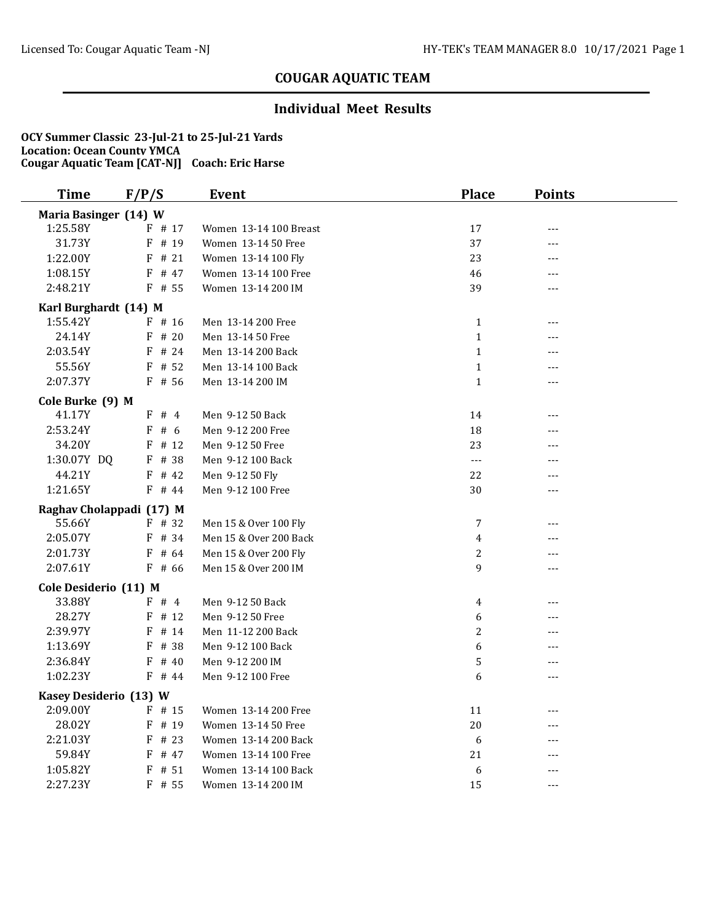### **Individual Meet Results**

| <b>Time</b>              | F/P/S     | Event                  | <b>Place</b> | <b>Points</b> |  |
|--------------------------|-----------|------------------------|--------------|---------------|--|
| Maria Basinger (14) W    |           |                        |              |               |  |
| 1:25.58Y                 | $F$ # 17  | Women 13-14 100 Breast | 17           | $---$         |  |
| 31.73Y                   | $F$ # 19  | Women 13-14 50 Free    | 37           | ---           |  |
| 1:22.00Y                 | $F$ # 21  | Women 13-14 100 Fly    | 23           | ---           |  |
| 1:08.15Y                 | F # 47    | Women 13-14 100 Free   | 46           | ---           |  |
| 2:48.21Y                 | $F$ # 55  | Women 13-14 200 IM     | 39           | $---$         |  |
| Karl Burghardt (14) M    |           |                        |              |               |  |
| 1:55.42Y                 | $F$ # 16  | Men 13-14 200 Free     | $\mathbf{1}$ | ---           |  |
| 24.14Y                   | $F$ # 20  | Men 13-14 50 Free      | $\mathbf{1}$ | $---$         |  |
| 2:03.54Y                 | $F$ # 24  | Men 13-14 200 Back     | $\mathbf{1}$ | ---           |  |
| 55.56Y                   | $F$ # 52  | Men 13-14 100 Back     | $\mathbf{1}$ | ---           |  |
| 2:07.37Y                 | $F$ # 56  | Men 13-14 200 IM       | $\mathbf{1}$ | $---$         |  |
| Cole Burke (9) M         |           |                        |              |               |  |
| 41.17Y                   | F # 4     | Men 9-12 50 Back       | 14           | ---           |  |
| 2:53.24Y                 | F#6       | Men 9-12 200 Free      | 18           | $---$         |  |
| 34.20Y                   | $F$ # 12  | Men 9-12 50 Free       | 23           | ---           |  |
| 1:30.07Y DQ              | F # 38    | Men 9-12 100 Back      | $---$        | $---$         |  |
| 44.21Y                   | $F$ # 42  | Men 9-12 50 Fly        | 22           | ---           |  |
| 1:21.65Y                 | $F$ # 44  | Men 9-12 100 Free      | 30           | $---$         |  |
| Raghav Cholappadi (17) M |           |                        |              |               |  |
| 55.66Y                   | $F$ # 32  | Men 15 & Over 100 Fly  | 7            | ---           |  |
| 2:05.07Y                 | $F$ # 34  | Men 15 & Over 200 Back | 4            | ---           |  |
| 2:01.73Y                 | $F$ # 64  | Men 15 & Over 200 Fly  | 2            | ---           |  |
| 2:07.61Y                 | $F$ # 66  | Men 15 & Over 200 IM   | 9            | ---           |  |
| Cole Desiderio (11) M    |           |                        |              |               |  |
| 33.88Y                   | F # 4     | Men 9-12 50 Back       | 4            | $---$         |  |
| 28.27Y                   | $F$ # 12  | Men 9-12 50 Free       | 6            | ---           |  |
| 2:39.97Y                 | $F$ # 14  | Men 11-12 200 Back     | 2            | $---$         |  |
| 1:13.69Y                 | # 38<br>F | Men 9-12 100 Back      | 6            | ---           |  |
| 2:36.84Y                 | F<br># 40 | Men 9-12 200 IM        | 5            | ---           |  |
| 1:02.23Y                 | F # 44    | Men 9-12 100 Free      | 6            | $---$         |  |
| Kasey Desiderio (13) W   |           |                        |              |               |  |
| 2:09.00Y                 | $F$ # 15  | Women 13-14 200 Free   | 11           | $- - -$       |  |
| 28.02Y                   | $F$ # 19  | Women 13-14 50 Free    | 20           | $---$         |  |
| 2:21.03Y                 | $F$ # 23  | Women 13-14 200 Back   | 6            | ---           |  |
| 59.84Y                   | $F$ # 47  | Women 13-14 100 Free   | 21           | ---           |  |
| 1:05.82Y                 | $F$ # 51  | Women 13-14 100 Back   | 6            | ---           |  |
| 2:27.23Y                 | $F$ # 55  | Women 13-14 200 IM     | 15           | $---$         |  |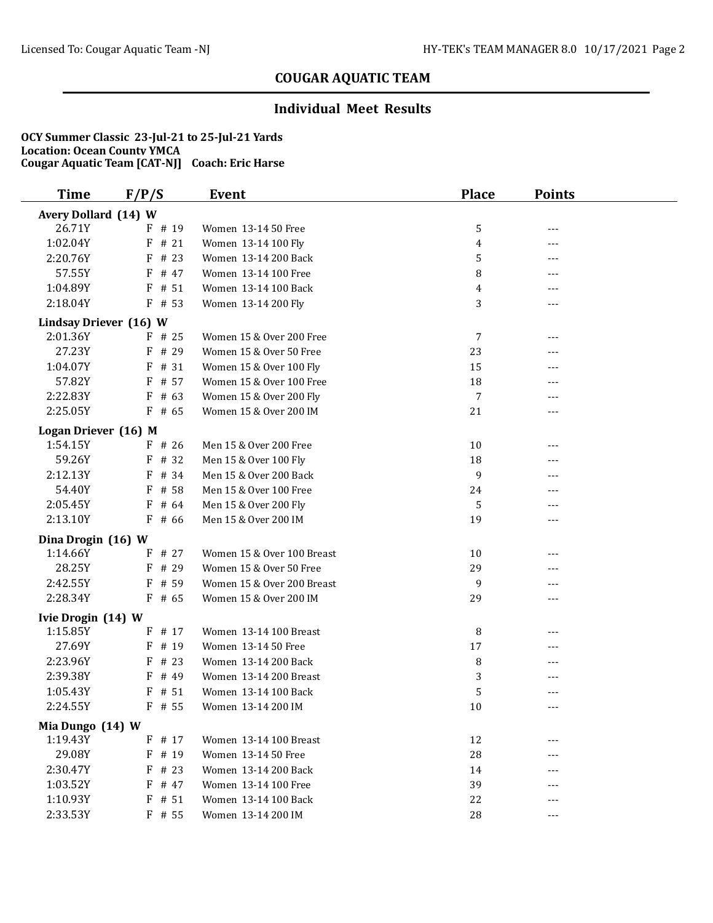### **Individual Meet Results**

| <b>Time</b>            | F/P/S     | Event                      | <b>Place</b> | <b>Points</b> |  |
|------------------------|-----------|----------------------------|--------------|---------------|--|
| Avery Dollard (14) W   |           |                            |              |               |  |
| 26.71Y                 | F # 19    | Women 13-14 50 Free        | 5            | $---$         |  |
| 1:02.04Y               | F<br># 21 | Women 13-14 100 Fly        | 4            | ---           |  |
| 2:20.76Y               | # 23<br>F | Women 13-14 200 Back       | 5            | ---           |  |
| 57.55Y                 | F<br># 47 | Women 13-14 100 Free       | 8            | ---           |  |
| 1:04.89Y               | $F$ # 51  | Women 13-14 100 Back       | 4            | ---           |  |
| 2:18.04Y               | $F$ # 53  | Women 13-14 200 Fly        | 3            | $---$         |  |
| Lindsay Driever (16) W |           |                            |              |               |  |
| 2:01.36Y               | $F$ # 25  | Women 15 & Over 200 Free   | 7            | $---$         |  |
| 27.23Y                 | $F$ # 29  | Women 15 & Over 50 Free    | 23           |               |  |
| 1:04.07Y               | $F$ # 31  | Women 15 & Over 100 Fly    | 15           |               |  |
| 57.82Y                 | $F$ # 57  | Women 15 & Over 100 Free   | 18           | ---           |  |
| 2:22.83Y               | $F$ # 63  | Women 15 & Over 200 Fly    | 7            | ---           |  |
| 2:25.05Y               | $F$ # 65  | Women 15 & Over 200 IM     | 21           | ---           |  |
| Logan Driever (16) M   |           |                            |              |               |  |
| 1:54.15Y               | $F$ # 26  | Men 15 & Over 200 Free     | 10           | ---           |  |
| 59.26Y                 | F # 32    | Men 15 & Over 100 Fly      | 18           | ---           |  |
| 2:12.13Y               | # 34<br>F | Men 15 & Over 200 Back     | 9            | ---           |  |
| 54.40Y                 | # 58<br>F | Men 15 & Over 100 Free     | 24           |               |  |
| 2:05.45Y               | F<br># 64 | Men 15 & Over 200 Fly      | 5            |               |  |
| 2:13.10Y               | $F$ # 66  | Men 15 & Over 200 IM       | 19           | $---$         |  |
| Dina Drogin (16) W     |           |                            |              |               |  |
| 1:14.66Y               | # 27<br>F | Women 15 & Over 100 Breast | 10           | $---$         |  |
| 28.25Y                 | F # 29    | Women 15 & Over 50 Free    | 29           | ---           |  |
| 2:42.55Y               | $F$ # 59  | Women 15 & Over 200 Breast | 9            | $---$         |  |
| 2:28.34Y               | $F$ # 65  | Women 15 & Over 200 IM     | 29           | ---           |  |
| Ivie Drogin (14) W     |           |                            |              |               |  |
| 1:15.85Y               | $F$ # 17  | Women 13-14 100 Breast     | 8            | ---           |  |
| 27.69Y                 | $F$ # 19  | Women 13-14 50 Free        | $17\,$       |               |  |
| 2:23.96Y               | $F$ # 23  | Women 13-14 200 Back       | 8            | ---           |  |
| 2:39.38Y               | $F$ # 49  | Women 13-14 200 Breast     | 3            |               |  |
| 1:05.43Y               | F<br># 51 | Women 13-14 100 Back       | 5            | $---$         |  |
| 2:24.55Y               | $F$ # 55  | Women 13-14 200 IM         | 10           | $- - -$       |  |
| Mia Dungo (14) W       |           |                            |              |               |  |
| 1:19.43Y               | $F$ # 17  | Women 13-14 100 Breast     | 12           | $---$         |  |
| 29.08Y                 | F # 19    | Women 13-14 50 Free        | 28           |               |  |
| 2:30.47Y               | # 23<br>F | Women 13-14 200 Back       | 14           |               |  |
| 1:03.52Y               | $F$ # 47  | Women 13-14 100 Free       | 39           |               |  |
| 1:10.93Y               | $F$ # 51  | Women 13-14 100 Back       | 22           |               |  |
| 2:33.53Y               | $F$ # 55  | Women 13-14 200 IM         | 28           | ---           |  |
|                        |           |                            |              |               |  |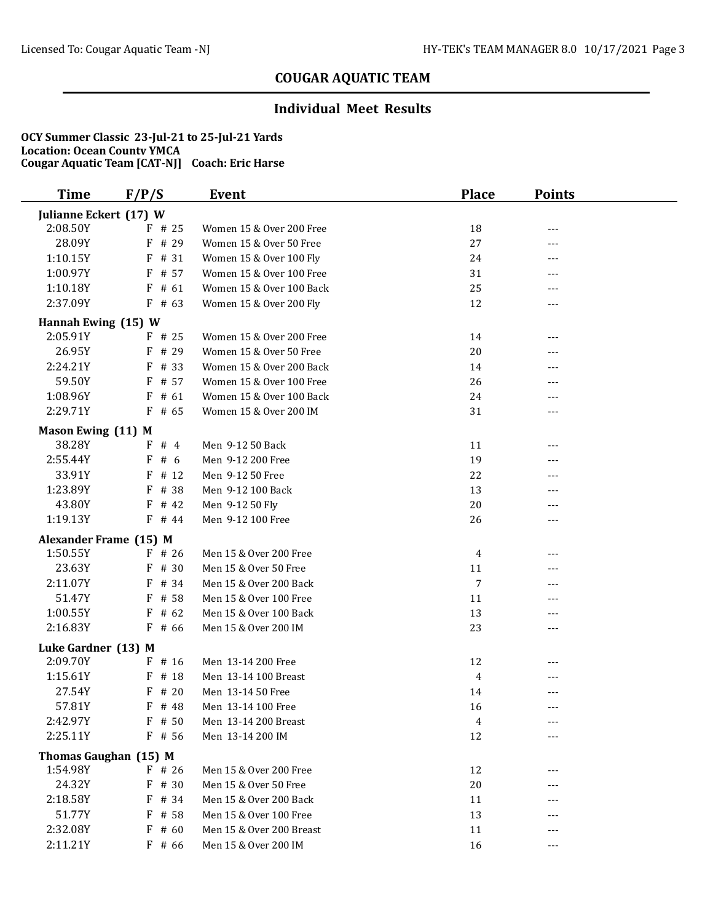### **Individual Meet Results**

| <b>Time</b>            | F/P/S     | Event                    | <b>Place</b> | <b>Points</b> |  |
|------------------------|-----------|--------------------------|--------------|---------------|--|
| Julianne Eckert (17) W |           |                          |              |               |  |
| 2:08.50Y               | $F$ # 25  | Women 15 & Over 200 Free | 18           | ---           |  |
| 28.09Y                 | F # 29    | Women 15 & Over 50 Free  | 27           | ---           |  |
| 1:10.15Y               | # 31<br>F | Women 15 & Over 100 Fly  | 24           | ---           |  |
| 1:00.97Y               | F # 57    | Women 15 & Over 100 Free | 31           | ---           |  |
| 1:10.18Y               | $F$ # 61  | Women 15 & Over 100 Back | 25           | ---           |  |
| 2:37.09Y               | $F$ # 63  | Women 15 & Over 200 Fly  | 12           | ---           |  |
| Hannah Ewing (15) W    |           |                          |              |               |  |
| 2:05.91Y               | $F$ # 25  | Women 15 & Over 200 Free | 14           | ---           |  |
| 26.95Y                 | $F$ # 29  | Women 15 & Over 50 Free  | 20           | ---           |  |
| 2:24.21Y               | $F$ # 33  | Women 15 & Over 200 Back | 14           |               |  |
| 59.50Y                 | $F$ # 57  | Women 15 & Over 100 Free | 26           | ---           |  |
| 1:08.96Y               | $F$ # 61  | Women 15 & Over 100 Back | 24           |               |  |
| 2:29.71Y               | $F$ # 65  | Women 15 & Over 200 IM   | 31           | ---           |  |
| Mason Ewing (11) M     |           |                          |              |               |  |
| 38.28Y                 | F#4       | Men 9-12 50 Back         | 11           | ---           |  |
| 2:55.44Y               | # 6<br>F  | Men 9-12 200 Free        | 19           | ---           |  |
| 33.91Y                 | # 12<br>F | Men 9-12 50 Free         | 22           |               |  |
| 1:23.89Y               | # 38<br>F | Men 9-12 100 Back        | 13           | ---           |  |
| 43.80Y                 | $F$ # 42  | Men 9-12 50 Fly          | 20           |               |  |
| 1:19.13Y               | $F$ # 44  | Men 9-12 100 Free        | 26           | ---           |  |
| Alexander Frame (15) M |           |                          |              |               |  |
| 1:50.55Y               | $F$ # 26  | Men 15 & Over 200 Free   | 4            | ---           |  |
| 23.63Y                 | $F$ # 30  | Men 15 & Over 50 Free    | 11           | ---           |  |
| 2:11.07Y               | F # 34    | Men 15 & Over 200 Back   | 7            | ---           |  |
| 51.47Y                 | F<br># 58 | Men 15 & Over 100 Free   | 11           | ---           |  |
| 1:00.55Y               | $F$ # 62  | Men 15 & Over 100 Back   | 13           |               |  |
| 2:16.83Y               | $F$ # 66  | Men 15 & Over 200 IM     | 23           | ---           |  |
| Luke Gardner (13) M    |           |                          |              |               |  |
| 2:09.70Y               | $F$ # 16  | Men 13-14 200 Free       | 12           |               |  |
| 1:15.61Y               | $F$ # 18  | Men 13-14 100 Breast     | 4            | ---           |  |
| 27.54Y                 | # 20<br>F | Men 13-14 50 Free        | 14           | ---           |  |
| 57.81Y                 | F # 48    | Men 13-14 100 Free       | 16           | ---           |  |
| 2:42.97Y               | $F$ # 50  | Men 13-14 200 Breast     | 4            | ---           |  |
| 2:25.11Y               | $F$ # 56  | Men 13-14 200 IM         | 12           |               |  |
| Thomas Gaughan (15) M  |           |                          |              |               |  |
| 1:54.98Y               | $F$ # 26  | Men 15 & Over 200 Free   | 12           | ---           |  |
| 24.32Y                 | $F$ # 30  | Men 15 & Over 50 Free    | 20           |               |  |
| 2:18.58Y               | F # 34    | Men 15 & Over 200 Back   | 11           |               |  |
| 51.77Y                 | $F$ # 58  | Men 15 & Over 100 Free   | 13           |               |  |
| 2:32.08Y               | $F$ # 60  | Men 15 & Over 200 Breast | 11           |               |  |
| 2:11.21Y               | $F$ # 66  | Men 15 & Over 200 IM     | 16           | ---           |  |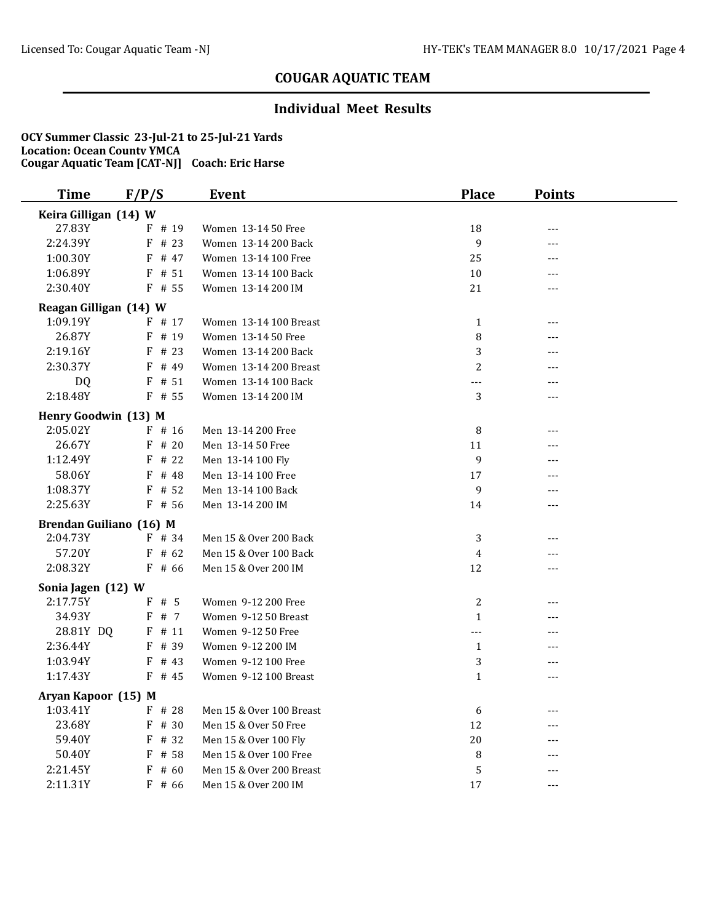### **Individual Meet Results**

| <b>Time</b>             | F/P/S     | Event                    | <b>Place</b>   | <b>Points</b> |  |
|-------------------------|-----------|--------------------------|----------------|---------------|--|
| Keira Gilligan (14) W   |           |                          |                |               |  |
| 27.83Y                  | F # 19    | Women 13-14 50 Free      | 18             | ---           |  |
| 2:24.39Y                | $F$ # 23  | Women 13-14 200 Back     | 9              |               |  |
| 1:00.30Y                | $F$ # 47  | Women 13-14 100 Free     | 25             | ---           |  |
| 1:06.89Y                | $F$ # 51  | Women 13-14 100 Back     | 10             | ---           |  |
| 2:30.40Y                | $F$ # 55  | Women 13-14 200 IM       | 21             | ---           |  |
| Reagan Gilligan (14) W  |           |                          |                |               |  |
| 1:09.19Y                | $F$ # 17  | Women 13-14 100 Breast   | $\mathbf{1}$   | $---$         |  |
| 26.87Y                  | $F$ # 19  | Women 13-14 50 Free      | 8              | ---           |  |
| 2:19.16Y                | $F$ # 23  | Women 13-14 200 Back     | 3              | ---           |  |
| 2:30.37Y                | $F$ # 49  | Women 13-14 200 Breast   | $\overline{2}$ | ---           |  |
| DQ                      | $F$ # 51  | Women 13-14 100 Back     | ---            | $---$         |  |
| 2:18.48Y                | $F$ # 55  | Women 13-14 200 IM       | 3              | $---$         |  |
| Henry Goodwin (13) M    |           |                          |                |               |  |
| 2:05.02Y                | $F$ # 16  | Men 13-14 200 Free       | 8              | $---$         |  |
| 26.67Y                  | $F$ # 20  | Men 13-14 50 Free        | 11             | ---           |  |
| 1:12.49Y                | $F$ # 22  | Men 13-14 100 Fly        | 9              | ---           |  |
| 58.06Y                  | $F$ # 48  | Men 13-14 100 Free       | 17             | ---           |  |
| 1:08.37Y                | $F$ # 52  | Men 13-14 100 Back       | 9              | ---           |  |
| 2:25.63Y                | $F$ # 56  | Men 13-14 200 IM         | 14             | $---$         |  |
| Brendan Guiliano (16) M |           |                          |                |               |  |
| 2:04.73Y                | $F$ # 34  | Men 15 & Over 200 Back   | 3              | ---           |  |
| 57.20Y                  | $F$ # 62  | Men 15 & Over 100 Back   | $\overline{4}$ | ---           |  |
| 2:08.32Y                | $F$ # 66  | Men 15 & Over 200 IM     | 12             | ---           |  |
| Sonia Jagen (12) W      |           |                          |                |               |  |
| 2:17.75Y                | F#5       | Women 9-12 200 Free      | 2              | $-$ - $-$     |  |
| 34.93Y                  | F # 7     | Women 9-12 50 Breast     | $\mathbf{1}$   | ---           |  |
| 28.81Y DQ               | $F$ # 11  | Women 9-12 50 Free       | $---$          | ---           |  |
| 2:36.44Y                | $F$ # 39  | Women 9-12 200 IM        | $\mathbf{1}$   | ---           |  |
| 1:03.94Y                | $F$ # 43  | Women 9-12 100 Free      | 3              | ---           |  |
| 1:17.43Y                | $F$ # 45  | Women 9-12 100 Breast    | $\mathbf{1}$   | ---           |  |
| Aryan Kapoor (15) M     |           |                          |                |               |  |
| 1:03.41Y                | F # 28    | Men 15 & Over 100 Breast | 6              | ---           |  |
| 23.68Y                  | $F$ # 30  | Men 15 & Over 50 Free    | 12             | $---$         |  |
| 59.40Y                  | $F$ # 32  | Men 15 & Over 100 Fly    | 20             |               |  |
| 50.40Y                  | F # 58    | Men 15 & Over 100 Free   | 8              | ---           |  |
| 2:21.45Y                | # 60<br>F | Men 15 & Over 200 Breast | 5              | ---           |  |
| 2:11.31Y                | $F$ # 66  | Men 15 & Over 200 IM     | 17             | ---           |  |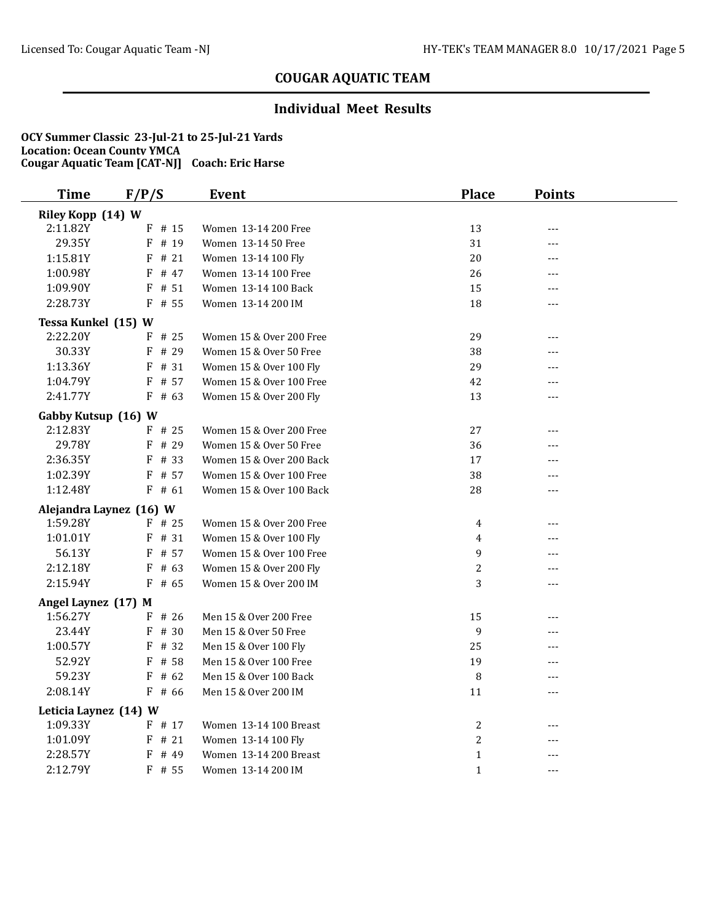### **Individual Meet Results**

| Riley Kopp (14) W<br>2:11.82Y<br>$F$ # 15<br>13<br>Women 13-14 200 Free<br>---<br>29.35Y<br>F # 19<br>31<br>Women 13-14 50 Free<br>---<br>1:15.81Y<br>$F$ # 21<br>20<br>Women 13-14 100 Fly<br>---<br>1:00.98Y<br>F # 47<br>26<br>Women 13-14 100 Free<br>1:09.90Y<br>15<br>$F$ # 51<br>Women 13-14 100 Back<br>---<br>2:28.73Y<br>18<br>$F$ # 55<br>Women 13-14 200 IM<br>---<br>Tessa Kunkel (15) W<br>2:22.20Y<br>$F$ # 25<br>29<br>Women 15 & Over 200 Free<br>$---$<br>30.33Y<br>F # 29<br>38<br>Women 15 & Over 50 Free<br>---<br>1:13.36Y<br>29<br>F # 31<br>Women 15 & Over 100 Fly<br>---<br>1:04.79Y<br>F # 57<br>Women 15 & Over 100 Free<br>42<br>---<br>2:41.77Y<br>Women 15 & Over 200 Fly<br>$F$ # 63<br>13<br>---<br>Gabby Kutsup (16) W<br>2:12.83Y<br>$F$ # 25<br>Women 15 & Over 200 Free<br>27<br>---<br>29.78Y<br>F # 29<br>Women 15 & Over 50 Free<br>36<br>---<br>2:36.35Y<br>F # 33<br>Women 15 & Over 200 Back<br>17<br>---<br>1:02.39Y<br>Women 15 & Over 100 Free<br>38<br>F # 57<br>---<br>1:12.48Y<br>Women 15 & Over 100 Back<br>$F$ # 61<br>28<br>---<br>Alejandra Laynez (16) W<br>1:59.28Y<br>Women 15 & Over 200 Free<br>$F$ # 25<br>4<br>---<br>1:01.01Y<br>F # 31<br>Women 15 & Over 100 Fly<br>4<br>---<br>56.13Y<br>F # 57<br>Women 15 & Over 100 Free<br>9<br>---<br>$\overline{c}$<br>2:12.18Y<br>$F$ # 63<br>Women 15 & Over 200 Fly<br>2:15.94Y<br>$F$ # 65<br>Women 15 & Over 200 IM<br>3<br>---<br>Angel Laynez (17) M<br>1:56.27Y<br>$F$ # 26<br>Men 15 & Over 200 Free<br>15<br>---<br>23.44Y<br>F # 30<br>Men 15 & Over 50 Free<br>9<br>---<br>1:00.57Y<br>F # 32<br>25<br>Men 15 & Over 100 Fly<br>52.92Y<br>Men 15 & Over 100 Free<br>$F$ # 58<br>19<br>---<br>59.23Y<br>$F$ # 62<br>Men 15 & Over 100 Back<br>8<br>---<br>2:08.14Y<br>$F$ # 66<br>Men 15 & Over 200 IM<br>11<br>---<br>Leticia Laynez (14) W<br>1:09.33Y<br>F # 17<br>$\overline{c}$<br>Women 13-14 100 Breast<br>---<br>1:01.09Y<br>$\overline{c}$<br>$F$ # 21<br>Women 13-14 100 Fly<br>---<br>2:28.57Y<br>F # 49<br>Women 13-14 200 Breast<br>$\mathbf{1}$<br>---<br>--- | <b>Time</b> | F/P/S  | Event              | <b>Place</b> | <b>Points</b> |  |
|-----------------------------------------------------------------------------------------------------------------------------------------------------------------------------------------------------------------------------------------------------------------------------------------------------------------------------------------------------------------------------------------------------------------------------------------------------------------------------------------------------------------------------------------------------------------------------------------------------------------------------------------------------------------------------------------------------------------------------------------------------------------------------------------------------------------------------------------------------------------------------------------------------------------------------------------------------------------------------------------------------------------------------------------------------------------------------------------------------------------------------------------------------------------------------------------------------------------------------------------------------------------------------------------------------------------------------------------------------------------------------------------------------------------------------------------------------------------------------------------------------------------------------------------------------------------------------------------------------------------------------------------------------------------------------------------------------------------------------------------------------------------------------------------------------------------------------------------------------------------------------------------------------------------------------------------------------------------------------------------------------------------------------------------------------------------------------------------------|-------------|--------|--------------------|--------------|---------------|--|
|                                                                                                                                                                                                                                                                                                                                                                                                                                                                                                                                                                                                                                                                                                                                                                                                                                                                                                                                                                                                                                                                                                                                                                                                                                                                                                                                                                                                                                                                                                                                                                                                                                                                                                                                                                                                                                                                                                                                                                                                                                                                                               |             |        |                    |              |               |  |
|                                                                                                                                                                                                                                                                                                                                                                                                                                                                                                                                                                                                                                                                                                                                                                                                                                                                                                                                                                                                                                                                                                                                                                                                                                                                                                                                                                                                                                                                                                                                                                                                                                                                                                                                                                                                                                                                                                                                                                                                                                                                                               |             |        |                    |              |               |  |
|                                                                                                                                                                                                                                                                                                                                                                                                                                                                                                                                                                                                                                                                                                                                                                                                                                                                                                                                                                                                                                                                                                                                                                                                                                                                                                                                                                                                                                                                                                                                                                                                                                                                                                                                                                                                                                                                                                                                                                                                                                                                                               |             |        |                    |              |               |  |
|                                                                                                                                                                                                                                                                                                                                                                                                                                                                                                                                                                                                                                                                                                                                                                                                                                                                                                                                                                                                                                                                                                                                                                                                                                                                                                                                                                                                                                                                                                                                                                                                                                                                                                                                                                                                                                                                                                                                                                                                                                                                                               |             |        |                    |              |               |  |
|                                                                                                                                                                                                                                                                                                                                                                                                                                                                                                                                                                                                                                                                                                                                                                                                                                                                                                                                                                                                                                                                                                                                                                                                                                                                                                                                                                                                                                                                                                                                                                                                                                                                                                                                                                                                                                                                                                                                                                                                                                                                                               |             |        |                    |              |               |  |
|                                                                                                                                                                                                                                                                                                                                                                                                                                                                                                                                                                                                                                                                                                                                                                                                                                                                                                                                                                                                                                                                                                                                                                                                                                                                                                                                                                                                                                                                                                                                                                                                                                                                                                                                                                                                                                                                                                                                                                                                                                                                                               |             |        |                    |              |               |  |
|                                                                                                                                                                                                                                                                                                                                                                                                                                                                                                                                                                                                                                                                                                                                                                                                                                                                                                                                                                                                                                                                                                                                                                                                                                                                                                                                                                                                                                                                                                                                                                                                                                                                                                                                                                                                                                                                                                                                                                                                                                                                                               |             |        |                    |              |               |  |
|                                                                                                                                                                                                                                                                                                                                                                                                                                                                                                                                                                                                                                                                                                                                                                                                                                                                                                                                                                                                                                                                                                                                                                                                                                                                                                                                                                                                                                                                                                                                                                                                                                                                                                                                                                                                                                                                                                                                                                                                                                                                                               |             |        |                    |              |               |  |
|                                                                                                                                                                                                                                                                                                                                                                                                                                                                                                                                                                                                                                                                                                                                                                                                                                                                                                                                                                                                                                                                                                                                                                                                                                                                                                                                                                                                                                                                                                                                                                                                                                                                                                                                                                                                                                                                                                                                                                                                                                                                                               |             |        |                    |              |               |  |
|                                                                                                                                                                                                                                                                                                                                                                                                                                                                                                                                                                                                                                                                                                                                                                                                                                                                                                                                                                                                                                                                                                                                                                                                                                                                                                                                                                                                                                                                                                                                                                                                                                                                                                                                                                                                                                                                                                                                                                                                                                                                                               |             |        |                    |              |               |  |
|                                                                                                                                                                                                                                                                                                                                                                                                                                                                                                                                                                                                                                                                                                                                                                                                                                                                                                                                                                                                                                                                                                                                                                                                                                                                                                                                                                                                                                                                                                                                                                                                                                                                                                                                                                                                                                                                                                                                                                                                                                                                                               |             |        |                    |              |               |  |
|                                                                                                                                                                                                                                                                                                                                                                                                                                                                                                                                                                                                                                                                                                                                                                                                                                                                                                                                                                                                                                                                                                                                                                                                                                                                                                                                                                                                                                                                                                                                                                                                                                                                                                                                                                                                                                                                                                                                                                                                                                                                                               |             |        |                    |              |               |  |
|                                                                                                                                                                                                                                                                                                                                                                                                                                                                                                                                                                                                                                                                                                                                                                                                                                                                                                                                                                                                                                                                                                                                                                                                                                                                                                                                                                                                                                                                                                                                                                                                                                                                                                                                                                                                                                                                                                                                                                                                                                                                                               |             |        |                    |              |               |  |
|                                                                                                                                                                                                                                                                                                                                                                                                                                                                                                                                                                                                                                                                                                                                                                                                                                                                                                                                                                                                                                                                                                                                                                                                                                                                                                                                                                                                                                                                                                                                                                                                                                                                                                                                                                                                                                                                                                                                                                                                                                                                                               |             |        |                    |              |               |  |
|                                                                                                                                                                                                                                                                                                                                                                                                                                                                                                                                                                                                                                                                                                                                                                                                                                                                                                                                                                                                                                                                                                                                                                                                                                                                                                                                                                                                                                                                                                                                                                                                                                                                                                                                                                                                                                                                                                                                                                                                                                                                                               |             |        |                    |              |               |  |
|                                                                                                                                                                                                                                                                                                                                                                                                                                                                                                                                                                                                                                                                                                                                                                                                                                                                                                                                                                                                                                                                                                                                                                                                                                                                                                                                                                                                                                                                                                                                                                                                                                                                                                                                                                                                                                                                                                                                                                                                                                                                                               |             |        |                    |              |               |  |
|                                                                                                                                                                                                                                                                                                                                                                                                                                                                                                                                                                                                                                                                                                                                                                                                                                                                                                                                                                                                                                                                                                                                                                                                                                                                                                                                                                                                                                                                                                                                                                                                                                                                                                                                                                                                                                                                                                                                                                                                                                                                                               |             |        |                    |              |               |  |
|                                                                                                                                                                                                                                                                                                                                                                                                                                                                                                                                                                                                                                                                                                                                                                                                                                                                                                                                                                                                                                                                                                                                                                                                                                                                                                                                                                                                                                                                                                                                                                                                                                                                                                                                                                                                                                                                                                                                                                                                                                                                                               |             |        |                    |              |               |  |
|                                                                                                                                                                                                                                                                                                                                                                                                                                                                                                                                                                                                                                                                                                                                                                                                                                                                                                                                                                                                                                                                                                                                                                                                                                                                                                                                                                                                                                                                                                                                                                                                                                                                                                                                                                                                                                                                                                                                                                                                                                                                                               |             |        |                    |              |               |  |
|                                                                                                                                                                                                                                                                                                                                                                                                                                                                                                                                                                                                                                                                                                                                                                                                                                                                                                                                                                                                                                                                                                                                                                                                                                                                                                                                                                                                                                                                                                                                                                                                                                                                                                                                                                                                                                                                                                                                                                                                                                                                                               |             |        |                    |              |               |  |
|                                                                                                                                                                                                                                                                                                                                                                                                                                                                                                                                                                                                                                                                                                                                                                                                                                                                                                                                                                                                                                                                                                                                                                                                                                                                                                                                                                                                                                                                                                                                                                                                                                                                                                                                                                                                                                                                                                                                                                                                                                                                                               |             |        |                    |              |               |  |
|                                                                                                                                                                                                                                                                                                                                                                                                                                                                                                                                                                                                                                                                                                                                                                                                                                                                                                                                                                                                                                                                                                                                                                                                                                                                                                                                                                                                                                                                                                                                                                                                                                                                                                                                                                                                                                                                                                                                                                                                                                                                                               |             |        |                    |              |               |  |
|                                                                                                                                                                                                                                                                                                                                                                                                                                                                                                                                                                                                                                                                                                                                                                                                                                                                                                                                                                                                                                                                                                                                                                                                                                                                                                                                                                                                                                                                                                                                                                                                                                                                                                                                                                                                                                                                                                                                                                                                                                                                                               |             |        |                    |              |               |  |
|                                                                                                                                                                                                                                                                                                                                                                                                                                                                                                                                                                                                                                                                                                                                                                                                                                                                                                                                                                                                                                                                                                                                                                                                                                                                                                                                                                                                                                                                                                                                                                                                                                                                                                                                                                                                                                                                                                                                                                                                                                                                                               |             |        |                    |              |               |  |
|                                                                                                                                                                                                                                                                                                                                                                                                                                                                                                                                                                                                                                                                                                                                                                                                                                                                                                                                                                                                                                                                                                                                                                                                                                                                                                                                                                                                                                                                                                                                                                                                                                                                                                                                                                                                                                                                                                                                                                                                                                                                                               |             |        |                    |              |               |  |
|                                                                                                                                                                                                                                                                                                                                                                                                                                                                                                                                                                                                                                                                                                                                                                                                                                                                                                                                                                                                                                                                                                                                                                                                                                                                                                                                                                                                                                                                                                                                                                                                                                                                                                                                                                                                                                                                                                                                                                                                                                                                                               |             |        |                    |              |               |  |
|                                                                                                                                                                                                                                                                                                                                                                                                                                                                                                                                                                                                                                                                                                                                                                                                                                                                                                                                                                                                                                                                                                                                                                                                                                                                                                                                                                                                                                                                                                                                                                                                                                                                                                                                                                                                                                                                                                                                                                                                                                                                                               |             |        |                    |              |               |  |
|                                                                                                                                                                                                                                                                                                                                                                                                                                                                                                                                                                                                                                                                                                                                                                                                                                                                                                                                                                                                                                                                                                                                                                                                                                                                                                                                                                                                                                                                                                                                                                                                                                                                                                                                                                                                                                                                                                                                                                                                                                                                                               |             |        |                    |              |               |  |
|                                                                                                                                                                                                                                                                                                                                                                                                                                                                                                                                                                                                                                                                                                                                                                                                                                                                                                                                                                                                                                                                                                                                                                                                                                                                                                                                                                                                                                                                                                                                                                                                                                                                                                                                                                                                                                                                                                                                                                                                                                                                                               |             |        |                    |              |               |  |
|                                                                                                                                                                                                                                                                                                                                                                                                                                                                                                                                                                                                                                                                                                                                                                                                                                                                                                                                                                                                                                                                                                                                                                                                                                                                                                                                                                                                                                                                                                                                                                                                                                                                                                                                                                                                                                                                                                                                                                                                                                                                                               |             |        |                    |              |               |  |
|                                                                                                                                                                                                                                                                                                                                                                                                                                                                                                                                                                                                                                                                                                                                                                                                                                                                                                                                                                                                                                                                                                                                                                                                                                                                                                                                                                                                                                                                                                                                                                                                                                                                                                                                                                                                                                                                                                                                                                                                                                                                                               |             |        |                    |              |               |  |
|                                                                                                                                                                                                                                                                                                                                                                                                                                                                                                                                                                                                                                                                                                                                                                                                                                                                                                                                                                                                                                                                                                                                                                                                                                                                                                                                                                                                                                                                                                                                                                                                                                                                                                                                                                                                                                                                                                                                                                                                                                                                                               |             |        |                    |              |               |  |
|                                                                                                                                                                                                                                                                                                                                                                                                                                                                                                                                                                                                                                                                                                                                                                                                                                                                                                                                                                                                                                                                                                                                                                                                                                                                                                                                                                                                                                                                                                                                                                                                                                                                                                                                                                                                                                                                                                                                                                                                                                                                                               |             |        |                    |              |               |  |
|                                                                                                                                                                                                                                                                                                                                                                                                                                                                                                                                                                                                                                                                                                                                                                                                                                                                                                                                                                                                                                                                                                                                                                                                                                                                                                                                                                                                                                                                                                                                                                                                                                                                                                                                                                                                                                                                                                                                                                                                                                                                                               |             |        |                    |              |               |  |
|                                                                                                                                                                                                                                                                                                                                                                                                                                                                                                                                                                                                                                                                                                                                                                                                                                                                                                                                                                                                                                                                                                                                                                                                                                                                                                                                                                                                                                                                                                                                                                                                                                                                                                                                                                                                                                                                                                                                                                                                                                                                                               |             |        |                    |              |               |  |
|                                                                                                                                                                                                                                                                                                                                                                                                                                                                                                                                                                                                                                                                                                                                                                                                                                                                                                                                                                                                                                                                                                                                                                                                                                                                                                                                                                                                                                                                                                                                                                                                                                                                                                                                                                                                                                                                                                                                                                                                                                                                                               |             |        |                    |              |               |  |
|                                                                                                                                                                                                                                                                                                                                                                                                                                                                                                                                                                                                                                                                                                                                                                                                                                                                                                                                                                                                                                                                                                                                                                                                                                                                                                                                                                                                                                                                                                                                                                                                                                                                                                                                                                                                                                                                                                                                                                                                                                                                                               | 2:12.79Y    | F # 55 | Women 13-14 200 IM | $\mathbf{1}$ |               |  |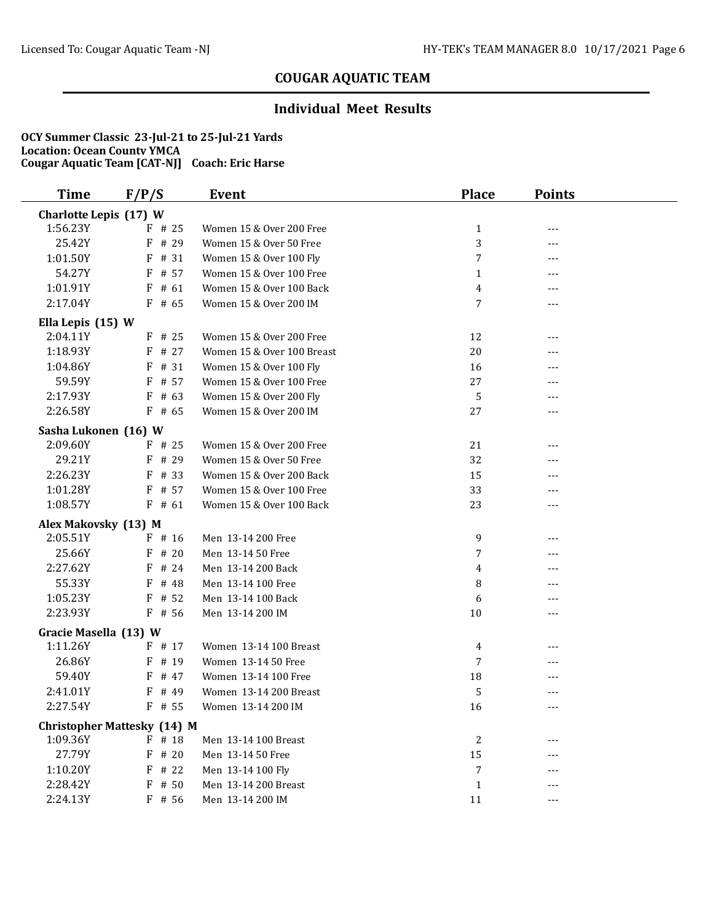### **Individual Meet Results**

| <b>Time</b>            | F/P/S                                        | Event                                     | <b>Place</b> | <b>Points</b> |  |
|------------------------|----------------------------------------------|-------------------------------------------|--------------|---------------|--|
| Charlotte Lepis (17) W |                                              |                                           |              |               |  |
| 1:56.23Y               | $F$ # 25                                     | Women 15 & Over 200 Free                  | $\mathbf{1}$ | $---$         |  |
| 25.42Y                 | # 29<br>F                                    | Women 15 & Over 50 Free                   | 3            | ---           |  |
| 1:01.50Y               | # 31<br>F                                    | Women 15 & Over 100 Fly                   | 7            | ---           |  |
| 54.27Y                 | # 57<br>F                                    | Women 15 & Over 100 Free                  | $\mathbf{1}$ | ---           |  |
| 1:01.91Y               | F<br># 61                                    | Women 15 & Over 100 Back                  | 4            |               |  |
| 2:17.04Y               | $F$ # 65                                     | Women 15 & Over 200 IM                    | 7            | $---$         |  |
| Ella Lepis (15) W      |                                              |                                           |              |               |  |
| 2:04.11Y               | $F$ # 25                                     | Women 15 & Over 200 Free                  | 12           | $---$         |  |
| 1:18.93Y               | $F$ # 27                                     | Women 15 & Over 100 Breast                | 20           |               |  |
| 1:04.86Y               | $F$ # 31                                     | Women 15 & Over 100 Fly                   | 16           |               |  |
| 59.59Y                 | $F$ # 57                                     | Women 15 & Over 100 Free                  | 27           |               |  |
| 2:17.93Y               | $F$ # 63                                     | Women 15 & Over 200 Fly                   | 5            |               |  |
| 2:26.58Y               | $F$ # 65                                     | Women 15 & Over 200 IM                    | 27           | ---           |  |
| Sasha Lukonen (16) W   |                                              |                                           |              |               |  |
| 2:09.60Y               | $F$ # 25                                     | Women 15 & Over 200 Free                  | 21           | ---           |  |
| 29.21Y                 | $F$ # 29                                     | Women 15 & Over 50 Free                   | 32           |               |  |
| 2:26.23Y               | F<br># 33                                    | Women 15 & Over 200 Back                  | 15           |               |  |
| 1:01.28Y               | # 57<br>F                                    | Women 15 & Over 100 Free                  | 33           |               |  |
| 1:08.57Y               | $F$ # 61                                     | Women 15 & Over 100 Back                  | 23           | ---           |  |
| Alex Makovsky (13) M   |                                              |                                           |              |               |  |
| 2:05.51Y               | $F$ # 16                                     | Men 13-14 200 Free                        | 9            | ---           |  |
| 25.66Y                 | # 20<br>F                                    | Men 13-14 50 Free                         | 7            | $---$         |  |
| 2:27.62Y               | F # 24                                       | Men 13-14 200 Back                        | 4            | ---           |  |
| 55.33Y                 | F<br># 48                                    | Men 13-14 100 Free                        | 8            | ---           |  |
| 1:05.23Y               | $F$ # 52                                     | Men 13-14 100 Back                        | 6            | ---           |  |
| 2:23.93Y               | $F$ # 56                                     | Men 13-14 200 IM                          | 10           | ---           |  |
| Gracie Masella (13) W  |                                              |                                           |              |               |  |
| 1:11.26Y               | $F$ # 17                                     | Women 13-14 100 Breast                    | 4            |               |  |
| 26.86Y                 | $F$ # 19                                     | Women 13-14 50 Free                       | 7            |               |  |
| 59.40Y                 | $F$ # 47                                     | Women 13-14 100 Free                      | 18           |               |  |
| 2:41.01Y               | F<br># 49                                    | Women 13-14 200 Breast                    | 5            | ---           |  |
| 2:27.54Y               | $F$ # 55                                     | Women 13-14 200 IM                        | 16           | ---           |  |
|                        |                                              |                                           |              |               |  |
| 1:09.36Y               | <b>Christopher Mattesky (14) M</b><br>F # 18 |                                           |              |               |  |
| 27.79Y                 | #20<br>F                                     | Men 13-14 100 Breast<br>Men 13-14 50 Free | 2<br>15      |               |  |
| 1:10.20Y               | # 22<br>F                                    | Men 13-14 100 Fly                         | 7            |               |  |
| 2:28.42Y               | $F$ # 50                                     | Men 13-14 200 Breast                      | $\mathbf{1}$ |               |  |
| 2:24.13Y               |                                              | Men 13-14 200 IM                          |              |               |  |
|                        | $F$ # 56                                     |                                           | 11           | $---$         |  |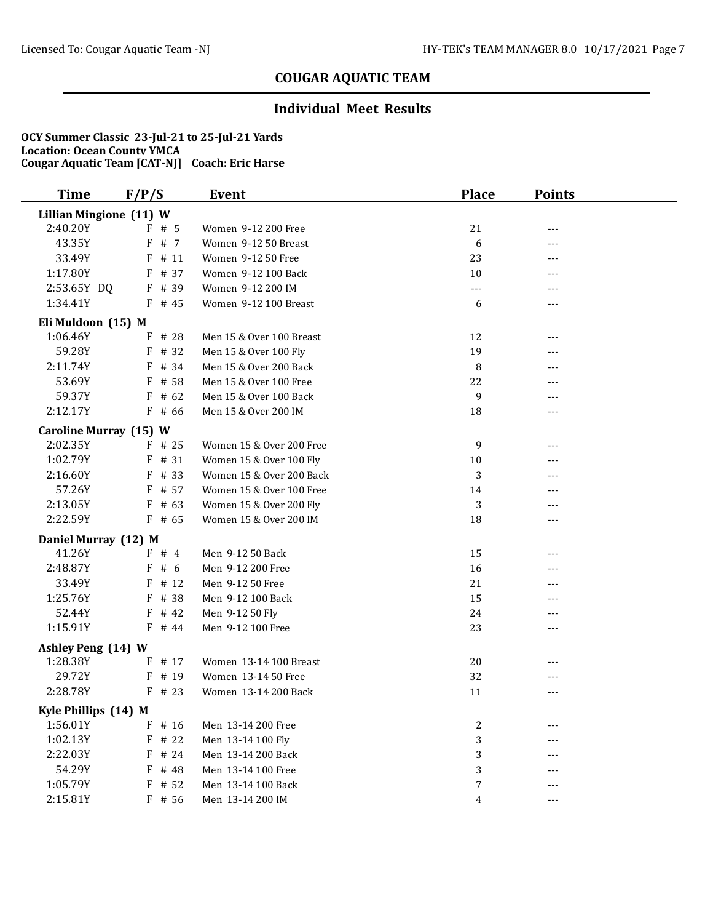### **Individual Meet Results**

| Time                           | F/P/S     | Event                    | <b>Place</b>     | <b>Points</b> |  |
|--------------------------------|-----------|--------------------------|------------------|---------------|--|
| <b>Lillian Mingione (11) W</b> |           |                          |                  |               |  |
| 2:40.20Y                       | $F$ # 5   | Women 9-12 200 Free      | 21               | $---$         |  |
| 43.35Y                         | # 7<br>F  | Women 9-12 50 Breast     | 6                | ---           |  |
| 33.49Y                         | F<br># 11 | Women 9-12 50 Free       | 23               | ---           |  |
| 1:17.80Y                       | # 37<br>F | Women 9-12 100 Back      | 10               | ---           |  |
| 2:53.65Y DQ                    | F # 39    | Women 9-12 200 IM        | $---$            | ---           |  |
| 1:34.41Y                       | $F$ # 45  | Women 9-12 100 Breast    | 6                | $---$         |  |
| Eli Muldoon (15) M             |           |                          |                  |               |  |
| 1:06.46Y                       | F # 28    | Men 15 & Over 100 Breast | 12               | $---$         |  |
| 59.28Y                         | F # 32    | Men 15 & Over 100 Fly    | 19               |               |  |
| 2:11.74Y                       | F # 34    | Men 15 & Over 200 Back   | 8                |               |  |
| 53.69Y                         | F # 58    | Men 15 & Over 100 Free   | 22               | ---           |  |
| 59.37Y                         | $F$ # 62  | Men 15 & Over 100 Back   | 9                | ---           |  |
| 2:12.17Y                       | $F$ # 66  | Men 15 & Over 200 IM     | 18               | $---$         |  |
| Caroline Murray (15) W         |           |                          |                  |               |  |
| 2:02.35Y                       | $F$ # 25  | Women 15 & Over 200 Free | 9                | $---$         |  |
| 1:02.79Y                       | $F$ # 31  | Women 15 & Over 100 Fly  | 10               |               |  |
| 2:16.60Y                       | # 33<br>F | Women 15 & Over 200 Back | 3                |               |  |
| 57.26Y                         | # 57<br>F | Women 15 & Over 100 Free | 14               |               |  |
| 2:13.05Y                       | $F$ # 63  | Women 15 & Over 200 Fly  | 3                |               |  |
| 2:22.59Y                       | $F$ # 65  | Women 15 & Over 200 IM   | 18               | ---           |  |
| Daniel Murray (12) M           |           |                          |                  |               |  |
| 41.26Y                         | F#4       | Men 9-12 50 Back         | 15               | $---$         |  |
| 2:48.87Y                       | F#6       | Men 9-12 200 Free        | 16               |               |  |
| 33.49Y                         | $F$ # 12  | Men 9-12 50 Free         | 21               | $---$         |  |
| 1:25.76Y                       | $F$ # 38  | Men 9-12 100 Back        | 15               | ---           |  |
| 52.44Y                         | $F$ # 42  | Men 9-12 50 Fly          | 24               | ---           |  |
| 1:15.91Y                       | $F$ # 44  | Men 9-12 100 Free        | 23               | $---$         |  |
| Ashley Peng (14) W             |           |                          |                  |               |  |
| 1:28.38Y                       | $F$ # 17  | Women 13-14 100 Breast   | 20               |               |  |
| 29.72Y                         | $F$ # 19  | Women 13-14 50 Free      | 32               | ---           |  |
| 2:28.78Y                       | $F$ # 23  | Women 13-14 200 Back     | 11               | $---$         |  |
| Kyle Phillips (14) M           |           |                          |                  |               |  |
| 1:56.01Y                       | $F$ # 16  | Men 13-14 200 Free       | $\boldsymbol{2}$ |               |  |
| 1:02.13Y                       | $F$ # 22  | Men 13-14 100 Fly        | 3                | ---           |  |
| 2:22.03Y                       | F # 24    | Men 13-14 200 Back       | 3                |               |  |
| 54.29Y                         | F<br># 48 | Men 13-14 100 Free       | 3                | ---           |  |
| 1:05.79Y                       | $F$ # 52  | Men 13-14 100 Back       | $\boldsymbol{7}$ |               |  |
| 2:15.81Y                       | $F$ # 56  | Men 13-14 200 IM         | 4                | ---           |  |
|                                |           |                          |                  |               |  |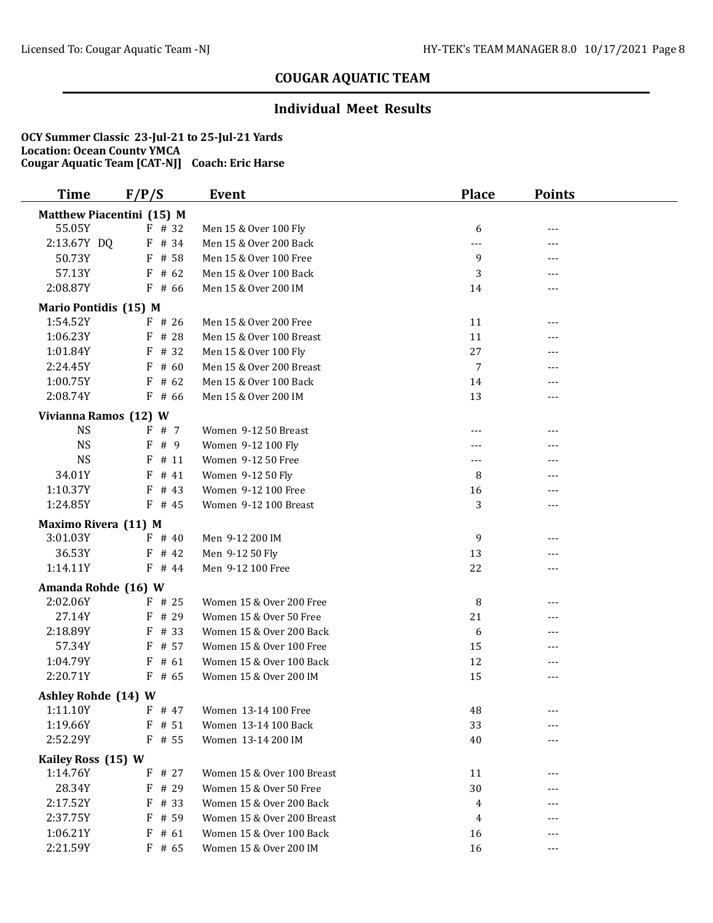### **Individual Meet Results**

| <b>Time</b>           | F/P/S                     | Event                      | <b>Place</b> | <b>Points</b> |  |
|-----------------------|---------------------------|----------------------------|--------------|---------------|--|
|                       | Matthew Piacentini (15) M |                            |              |               |  |
| 55.05Y                | F # 32                    | Men 15 & Over 100 Fly      | 6            | $---$         |  |
| 2:13.67Y DQ           | F # 34                    | Men 15 & Over 200 Back     | ---          | ---           |  |
| 50.73Y                | F # 58                    | Men 15 & Over 100 Free     | 9            | ---           |  |
| 57.13Y                | $F$ # 62                  | Men 15 & Over 100 Back     | 3            | ---           |  |
| 2:08.87Y              | $F$ # 66                  | Men 15 & Over 200 IM       | 14           | $---$         |  |
| Mario Pontidis (15) M |                           |                            |              |               |  |
| 1:54.52Y              | $F$ # 26                  | Men 15 & Over 200 Free     | 11           | $---$         |  |
| 1:06.23Y              | F # 28                    | Men 15 & Over 100 Breast   | 11           | ---           |  |
| 1:01.84Y              | F # 32                    | Men 15 & Over 100 Fly      | 27           |               |  |
| 2:24.45Y              | $F$ # 60                  | Men 15 & Over 200 Breast   | 7            | $---$         |  |
| 1:00.75Y              | $F$ # 62                  | Men 15 & Over 100 Back     | 14           |               |  |
| 2:08.74Y              | $F$ # 66                  | Men 15 & Over 200 IM       | 13           | $---$         |  |
| Vivianna Ramos (12) W |                           |                            |              |               |  |
| <b>NS</b>             | F # 7                     | Women 9-12 50 Breast       | ---          | ---           |  |
| <b>NS</b>             | F<br># 9                  | Women 9-12 100 Fly         |              | ---           |  |
| <b>NS</b>             | F<br># 11                 | Women 9-12 50 Free         | $---$        |               |  |
| 34.01Y                | # 41<br>F                 | Women 9-12 50 Fly          | 8            | ---           |  |
| 1:10.37Y              | $F$ # 43                  | Women 9-12 100 Free        | 16           |               |  |
| 1:24.85Y              | $F$ # 45                  | Women 9-12 100 Breast      | 3            | ---           |  |
|                       |                           |                            |              |               |  |
| Maximo Rivera (11) M  |                           |                            |              |               |  |
| 3:01.03Y              | $F$ # 40                  | Men 9-12 200 IM            | 9            | ---           |  |
| 36.53Y                | $F$ # 42                  | Men 9-12 50 Fly            | 13           | $---$         |  |
| 1:14.11Y              | $F$ # 44                  | Men 9-12 100 Free          | 22           | $---$         |  |
| Amanda Rohde (16) W   |                           |                            |              |               |  |
| 2:02.06Y              | $F$ # 25                  | Women 15 & Over 200 Free   | 8            |               |  |
| 27.14Y                | $F$ # 29                  | Women 15 & Over 50 Free    | 21           | ---           |  |
| 2:18.89Y              | F # 33                    | Women 15 & Over 200 Back   | 6            | ---           |  |
| 57.34Y                | $F$ # 57                  | Women 15 & Over 100 Free   | 15           | $---$         |  |
| 1:04.79Y              | $F$ # 61                  | Women 15 & Over 100 Back   | 12           | $---$         |  |
| 2:20.71Y              | $F$ # 65                  | Women 15 & Over 200 IM     | 15           | $---$         |  |
| Ashley Rohde (14) W   |                           |                            |              |               |  |
| 1:11.10Y              | $F$ # 47                  | Women 13-14 100 Free       | 48           |               |  |
| 1:19.66Y              | $F$ # 51                  | Women 13-14 100 Back       | 33           | ---           |  |
| 2:52.29Y              | $F$ # 55                  | Women 13-14 200 IM         | 40           |               |  |
| Kailey Ross (15) W    |                           |                            |              |               |  |
| 1:14.76Y              | $F$ # 27                  | Women 15 & Over 100 Breast | 11           |               |  |
| 28.34Y                | F # 29                    | Women 15 & Over 50 Free    | 30           |               |  |
| 2:17.52Y              | F # 33                    | Women 15 & Over 200 Back   | 4            |               |  |
| 2:37.75Y              | $F$ # 59                  | Women 15 & Over 200 Breast | 4            |               |  |
| 1:06.21Y              | $F$ # 61                  | Women 15 & Over 100 Back   | 16           | ---           |  |
| 2:21.59Y              | $F$ # 65                  | Women 15 & Over 200 IM     | 16           | $---$         |  |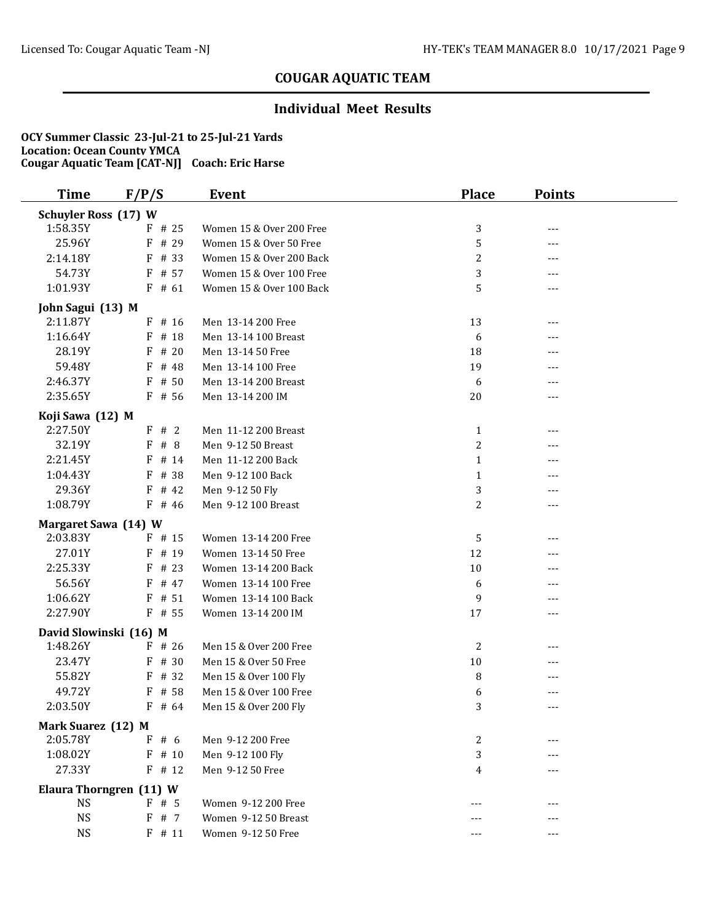### **Individual Meet Results**

| <b>Time</b>                 | F/P/S                   | Event                    | <b>Place</b> | <b>Points</b> |  |
|-----------------------------|-------------------------|--------------------------|--------------|---------------|--|
| <b>Schuyler Ross (17) W</b> |                         |                          |              |               |  |
| 1:58.35Y                    | $F$ # 25                | Women 15 & Over 200 Free | 3            | ---           |  |
| 25.96Y                      | # 29<br>F               | Women 15 & Over 50 Free  | 5            | ---           |  |
| 2:14.18Y                    | F # 33                  | Women 15 & Over 200 Back | 2            | ---           |  |
| 54.73Y                      | F # 57                  | Women 15 & Over 100 Free | 3            | $---$         |  |
| 1:01.93Y                    | $F$ # 61                | Women 15 & Over 100 Back | 5            | ---           |  |
| John Sagui (13) M           |                         |                          |              |               |  |
| 2:11.87Y                    | $F$ # 16                | Men 13-14 200 Free       | 13           | ---           |  |
| 1:16.64Y                    | F # 18                  | Men 13-14 100 Breast     | 6            |               |  |
| 28.19Y                      | $F$ # 20                | Men 13-14 50 Free        | 18           | ---           |  |
| 59.48Y                      | F<br># 48               | Men 13-14 100 Free       | 19           | ---           |  |
| 2:46.37Y                    | # 50<br>F               | Men 13-14 200 Breast     | 6            | ---           |  |
| 2:35.65Y                    | F # 56                  | Men 13-14 200 IM         | 20           | ---           |  |
| Koji Sawa (12) M            |                         |                          |              |               |  |
| 2:27.50Y                    | F # 2                   | Men 11-12 200 Breast     | $\mathbf{1}$ | ---           |  |
| 32.19Y                      | #8<br>F                 | Men 9-12 50 Breast       | 2            | ---           |  |
| 2:21.45Y                    | F<br># 14               | Men 11-12 200 Back       | $\mathbf{1}$ | ---           |  |
| 1:04.43Y                    | # 38<br>F               | Men 9-12 100 Back        | $\mathbf{1}$ |               |  |
| 29.36Y                      | $F$ # 42                | Men 9-12 50 Fly          | 3            | $---$         |  |
| 1:08.79Y                    | $F$ # 46                | Men 9-12 100 Breast      | 2            | ---           |  |
|                             |                         |                          |              |               |  |
| Margaret Sawa (14) W        |                         |                          |              |               |  |
| 2:03.83Y                    | $F$ # 15                | Women 13-14 200 Free     | 5            | ---           |  |
| 27.01Y                      | $F$ # 19                | Women 13-14 50 Free      | 12           | ---           |  |
| 2:25.33Y                    | F<br># 23               | Women 13-14 200 Back     | 10           | ---           |  |
| 56.56Y                      | F # 47                  | Women 13-14 100 Free     | 6            |               |  |
| 1:06.62Y                    | $F$ # 51                | Women 13-14 100 Back     | 9            | ---           |  |
| 2:27.90Y                    | $F$ # 55                | Women 13-14 200 IM       | 17           | ---           |  |
| David Slowinski (16) M      |                         |                          |              |               |  |
| 1:48.26Y                    | $F$ # 26                | Men 15 & Over 200 Free   | 2            | ---           |  |
| 23.47Y                      | F # 30                  | Men 15 & Over 50 Free    | 10           | ---           |  |
| 55.82Y                      | # 32<br>F               | Men 15 & Over 100 Fly    | 8            | ---           |  |
| 49.72Y                      | F # 58                  | Men 15 & Over 100 Free   | 6            | ---           |  |
| 2:03.50Y                    | $F$ # 64                | Men 15 & Over 200 Fly    | 3            | ---           |  |
| Mark Suarez (12) M          |                         |                          |              |               |  |
| 2:05.78Y                    | F#6                     | Men 9-12 200 Free        | 2            | ---           |  |
| 1:08.02Y                    | $F$ # 10                | Men 9-12 100 Fly         | 3            |               |  |
| 27.33Y                      | $F$ # 12                | Men 9-12 50 Free         | 4            | ---           |  |
|                             | Elaura Thorngren (11) W |                          |              |               |  |
| <b>NS</b>                   | F#5                     | Women 9-12 200 Free      |              |               |  |
| <b>NS</b>                   | F # 7                   | Women 9-12 50 Breast     |              | ---           |  |
| <b>NS</b>                   | $F$ # 11                | Women 9-12 50 Free       |              | ---           |  |